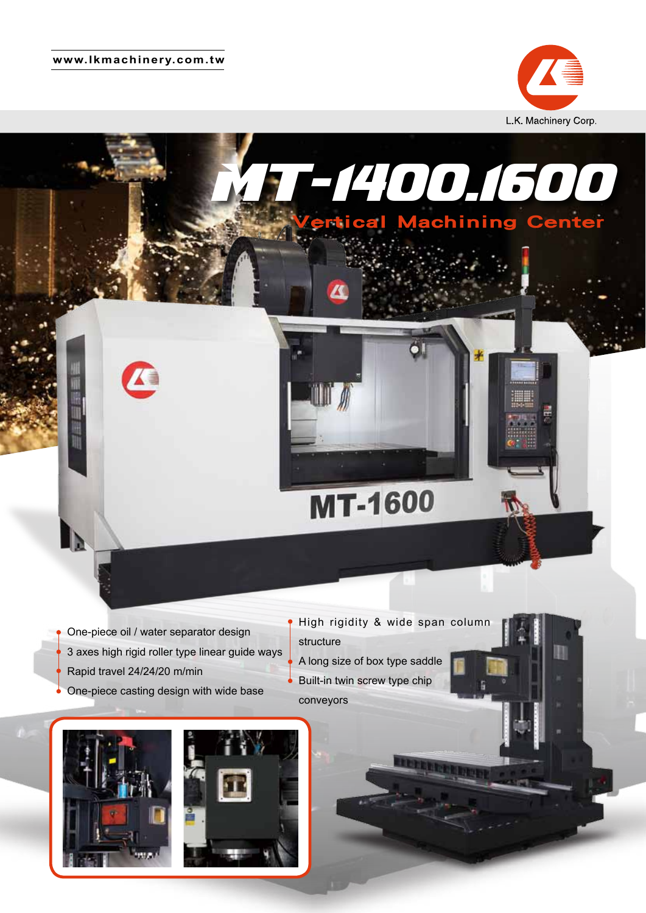#### **www.lkmachinery.com.tw**



Ш







High rigidity & wide span column structure A long size of box type saddle Built-in twin screw type chip conveyors

**MT-1600** 

MT-1400.1600

Vertical Machining Center